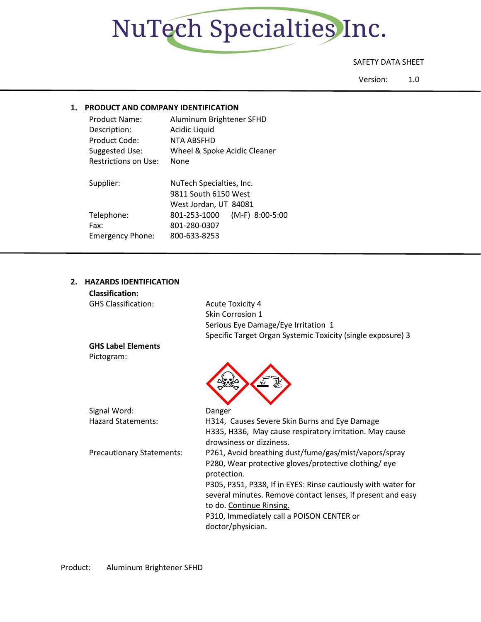

#### SAFETY DATA SHEET

Version: 1.0

#### **1. PRODUCT AND COMPANY IDENTIFICATION**

| <b>Product Name:</b>    | Aluminum Brightener SFHD        |
|-------------------------|---------------------------------|
| Description:            | Acidic Liquid                   |
| Product Code:           | NTA ABSFHD                      |
| Suggested Use:          | Wheel & Spoke Acidic Cleaner    |
| Restrictions on Use:    | None                            |
| Supplier:               | NuTech Specialties, Inc.        |
|                         | 9811 South 6150 West            |
|                         | West Jordan, UT 84081           |
| Telephone:              | (M-F) 8:00-5:00<br>801-253-1000 |
| Fax:                    | 801-280-0307                    |
| <b>Emergency Phone:</b> | 800-633-8253                    |

#### **2. HAZARDS IDENTIFICATION**

| <b>Classification:</b>           |                                                                                                                                                                                                                            |
|----------------------------------|----------------------------------------------------------------------------------------------------------------------------------------------------------------------------------------------------------------------------|
| <b>GHS Classification:</b>       | <b>Acute Toxicity 4</b>                                                                                                                                                                                                    |
|                                  | Skin Corrosion 1                                                                                                                                                                                                           |
|                                  | Serious Eye Damage/Eye Irritation 1                                                                                                                                                                                        |
|                                  | Specific Target Organ Systemic Toxicity (single exposure) 3                                                                                                                                                                |
| <b>GHS Label Elements</b>        |                                                                                                                                                                                                                            |
| Pictogram:                       |                                                                                                                                                                                                                            |
|                                  |                                                                                                                                                                                                                            |
| Signal Word:                     | Danger                                                                                                                                                                                                                     |
| <b>Hazard Statements:</b>        | H314, Causes Severe Skin Burns and Eye Damage                                                                                                                                                                              |
|                                  | H335, H336, May cause respiratory irritation. May cause<br>drowsiness or dizziness.                                                                                                                                        |
| <b>Precautionary Statements:</b> | P261, Avoid breathing dust/fume/gas/mist/vapors/spray<br>P280, Wear protective gloves/protective clothing/eye<br>protection.                                                                                               |
|                                  | P305, P351, P338, If in EYES: Rinse cautiously with water for<br>several minutes. Remove contact lenses, if present and easy<br>to do. Continue Rinsing.<br>P310, Immediately call a POISON CENTER or<br>doctor/physician. |
|                                  |                                                                                                                                                                                                                            |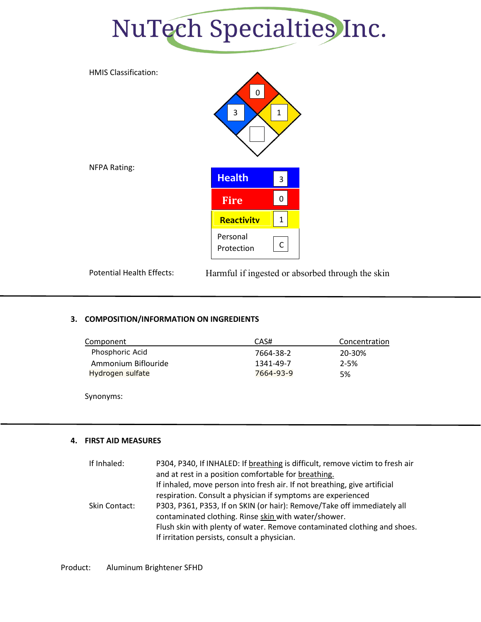



Potential Health Effects: Harmful if ingested or absorbed through the skin

#### **3. COMPOSITION/INFORMATION ON INGREDIENTS**

| Component           | CAS#      | Concentration |
|---------------------|-----------|---------------|
| Phosphoric Acid     | 7664-38-2 | 20-30%        |
| Ammonium Biflouride | 1341-49-7 | $2 - 5%$      |
| Hydrogen sulfate    | 7664-93-9 | 5%            |
|                     |           |               |

Synonyms:

#### **4. FIRST AID MEASURES**

| If Inhaled:   | P304, P340, If INHALED: If breathing is difficult, remove victim to fresh air |
|---------------|-------------------------------------------------------------------------------|
|               | and at rest in a position comfortable for breathing.                          |
|               | If inhaled, move person into fresh air. If not breathing, give artificial     |
|               | respiration. Consult a physician if symptoms are experienced                  |
| Skin Contact: | P303, P361, P353, If on SKIN (or hair): Remove/Take off immediately all       |
|               | contaminated clothing. Rinse skin with water/shower.                          |
|               | Flush skin with plenty of water. Remove contaminated clothing and shoes.      |
|               | If irritation persists, consult a physician.                                  |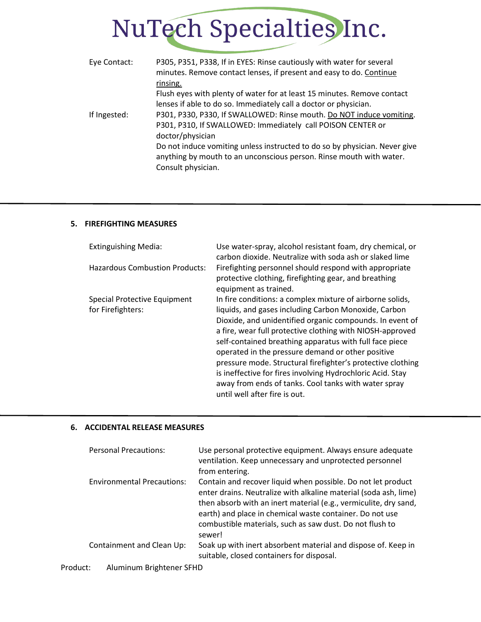| Eye Contact: | P305, P351, P338, If in EYES: Rinse cautiously with water for several<br>minutes. Remove contact lenses, if present and easy to do. Continue |
|--------------|----------------------------------------------------------------------------------------------------------------------------------------------|
|              | rinsing.                                                                                                                                     |
|              | Flush eyes with plenty of water for at least 15 minutes. Remove contact                                                                      |
|              | lenses if able to do so. Immediately call a doctor or physician.                                                                             |
| If Ingested: | P301, P330, P330, If SWALLOWED: Rinse mouth. Do NOT induce vomiting.                                                                         |
|              | P301, P310, If SWALLOWED: Immediately call POISON CENTER or                                                                                  |
|              | doctor/physician                                                                                                                             |
|              | Do not induce vomiting unless instructed to do so by physician. Never give                                                                   |
|              | anything by mouth to an unconscious person. Rinse mouth with water.                                                                          |
|              | Consult physician.                                                                                                                           |

#### **5. FIREFIGHTING MEASURES**

| <b>Extinguishing Media:</b>                       | Use water-spray, alcohol resistant foam, dry chemical, or<br>carbon dioxide. Neutralize with soda ash or slaked lime                                                                                                                                                                                                                                                                                                                                                                                                                                                             |
|---------------------------------------------------|----------------------------------------------------------------------------------------------------------------------------------------------------------------------------------------------------------------------------------------------------------------------------------------------------------------------------------------------------------------------------------------------------------------------------------------------------------------------------------------------------------------------------------------------------------------------------------|
| <b>Hazardous Combustion Products:</b>             | Firefighting personnel should respond with appropriate<br>protective clothing, firefighting gear, and breathing<br>equipment as trained.                                                                                                                                                                                                                                                                                                                                                                                                                                         |
| Special Protective Equipment<br>for Firefighters: | In fire conditions: a complex mixture of airborne solids,<br>liquids, and gases including Carbon Monoxide, Carbon<br>Dioxide, and unidentified organic compounds. In event of<br>a fire, wear full protective clothing with NIOSH-approved<br>self-contained breathing apparatus with full face piece<br>operated in the pressure demand or other positive<br>pressure mode. Structural firefighter's protective clothing<br>is ineffective for fires involving Hydrochloric Acid. Stay<br>away from ends of tanks. Cool tanks with water spray<br>until well after fire is out. |

#### **6. ACCIDENTAL RELEASE MEASURES**

|          | <b>Personal Precautions:</b>      | Use personal protective equipment. Always ensure adequate<br>ventilation. Keep unnecessary and unprotected personnel<br>from entering.                                                                                                                                                                                                 |
|----------|-----------------------------------|----------------------------------------------------------------------------------------------------------------------------------------------------------------------------------------------------------------------------------------------------------------------------------------------------------------------------------------|
|          | <b>Environmental Precautions:</b> | Contain and recover liquid when possible. Do not let product<br>enter drains. Neutralize with alkaline material (soda ash, lime)<br>then absorb with an inert material (e.g., vermiculite, dry sand,<br>earth) and place in chemical waste container. Do not use<br>combustible materials, such as saw dust. Do not flush to<br>sewer! |
|          | Containment and Clean Up:         | Soak up with inert absorbent material and dispose of. Keep in<br>suitable, closed containers for disposal.                                                                                                                                                                                                                             |
| Product: | Aluminum Brightener SFHD          |                                                                                                                                                                                                                                                                                                                                        |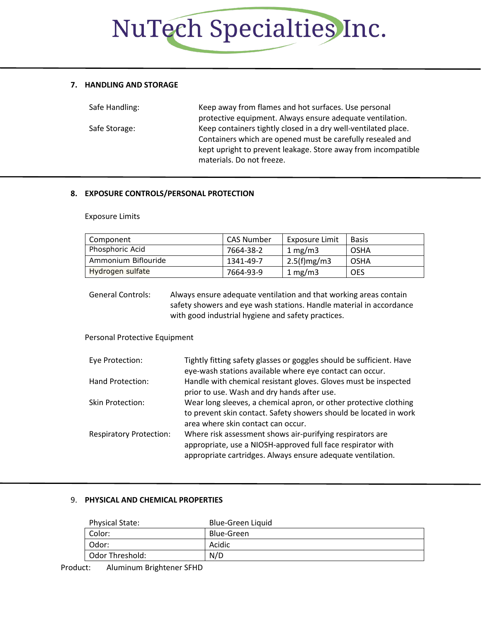#### **7. HANDLING AND STORAGE**

| Safe Handling: | Keep away from flames and hot surfaces. Use personal           |
|----------------|----------------------------------------------------------------|
|                | protective equipment. Always ensure adequate ventilation.      |
| Safe Storage:  | Keep containers tightly closed in a dry well-ventilated place. |
|                | Containers which are opened must be carefully resealed and     |
|                | kept upright to prevent leakage. Store away from incompatible  |
|                | materials. Do not freeze.                                      |

#### **8. EXPOSURE CONTROLS/PERSONAL PROTECTION**

Exposure Limits

| Component           | CAS Number | Exposure Limit   | <b>Basis</b> |
|---------------------|------------|------------------|--------------|
| Phosphoric Acid     | 7664-38-2  | 1 mg/m $3$       | OSHA         |
| Ammonium Biflouride | 1341-49-7  | $2.5(f)$ mg/m3   | OSHA         |
| Hydrogen sulfate    | 7664-93-9  | $1 \text{ mg/m}$ | <b>OES</b>   |

General Controls: Always ensure adequate ventilation and that working areas contain safety showers and eye wash stations. Handle material in accordance with good industrial hygiene and safety practices.

Personal Protective Equipment

| Eye Protection:                | Tightly fitting safety glasses or goggles should be sufficient. Have<br>eye-wash stations available where eye contact can occur.                                                        |
|--------------------------------|-----------------------------------------------------------------------------------------------------------------------------------------------------------------------------------------|
| Hand Protection:               | Handle with chemical resistant gloves. Gloves must be inspected<br>prior to use. Wash and dry hands after use.                                                                          |
| <b>Skin Protection:</b>        | Wear long sleeves, a chemical apron, or other protective clothing<br>to prevent skin contact. Safety showers should be located in work<br>area where skin contact can occur.            |
| <b>Respiratory Protection:</b> | Where risk assessment shows air-purifying respirators are<br>appropriate, use a NIOSH-approved full face respirator with<br>appropriate cartridges. Always ensure adequate ventilation. |

#### 9. **PHYSICAL AND CHEMICAL PROPERTIES**

| Physical State: | Blue-Green Liquid |
|-----------------|-------------------|
| Color:          | Blue-Green        |
| Odor:           | Acidic            |
| Odor Threshold: | N/D               |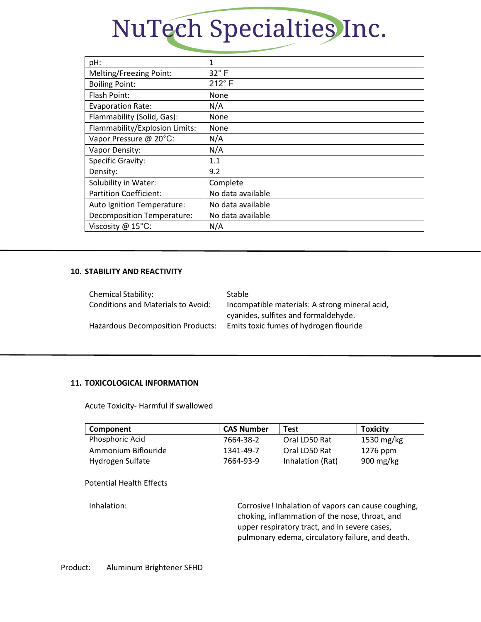| pH:                               | 1                 |
|-----------------------------------|-------------------|
| Melting/Freezing Point:           | $32^\circ$ F      |
| <b>Boiling Point:</b>             | $212^\circ$ F     |
| Flash Point:                      | None              |
| <b>Evaporation Rate:</b>          | N/A               |
| Flammability (Solid, Gas):        | <b>None</b>       |
| Flammability/Explosion Limits:    | None              |
| Vapor Pressure @ 20°C:            | N/A               |
| Vapor Density:                    | N/A               |
| <b>Specific Gravity:</b>          | 1.1               |
| Density:                          | 9.2               |
| Solubility in Water:              | Complete          |
| <b>Partition Coefficient:</b>     | No data available |
| Auto Ignition Temperature:        | No data available |
| <b>Decomposition Temperature:</b> | No data available |
| Viscosity @ 15°C:                 | N/A               |
|                                   |                   |

#### **10. STABILITY AND REACTIVITY**

| <b>Chemical Stability:</b>                | Stable                                         |
|-------------------------------------------|------------------------------------------------|
| <b>Conditions and Materials to Avoid:</b> | Incompatible materials: A strong mineral acid, |
|                                           | cyanides, sulfites and formaldehyde.           |
| <b>Hazardous Decomposition Products:</b>  | Emits toxic fumes of hydrogen flouride         |

#### **11. TOXICOLOGICAL INFORMATION**

Acute Toxicity- Harmful if swallowed

| Component           | <b>CAS Number</b> | Test             | <b>Toxicity</b>        |
|---------------------|-------------------|------------------|------------------------|
| Phosphoric Acid     | 7664-38-2         | Oral LD50 Rat    | 1530 mg/kg             |
| Ammonium Biflouride | 1341-49-7         | Oral LD50 Rat    | 1276 ppm               |
| Hydrogen Sulfate    | 7664-93-9         | Inhalation (Rat) | $900 \,\mathrm{mg/kg}$ |

Potential Health Effects

Inhalation: Corrosive! Inhalation of vapors can cause coughing, choking, inflammation of the nose, throat, and upper respiratory tract, and in severe cases, pulmonary edema, circulatory failure, and death.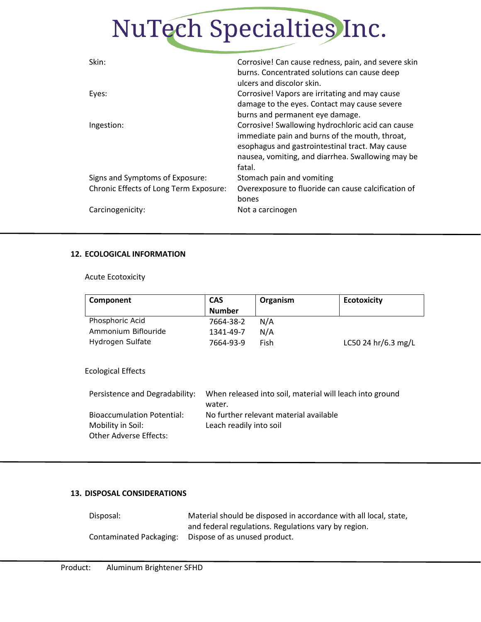| Skin:                                  | Corrosive! Can cause redness, pain, and severe skin<br>burns. Concentrated solutions can cause deep<br>ulcers and discolor skin.                                                                                      |
|----------------------------------------|-----------------------------------------------------------------------------------------------------------------------------------------------------------------------------------------------------------------------|
| Eyes:                                  | Corrosive! Vapors are irritating and may cause<br>damage to the eyes. Contact may cause severe<br>burns and permanent eye damage.                                                                                     |
| Ingestion:                             | Corrosive! Swallowing hydrochloric acid can cause<br>immediate pain and burns of the mouth, throat,<br>esophagus and gastrointestinal tract. May cause<br>nausea, vomiting, and diarrhea. Swallowing may be<br>fatal. |
| Signs and Symptoms of Exposure:        | Stomach pain and vomiting                                                                                                                                                                                             |
| Chronic Effects of Long Term Exposure: | Overexposure to fluoride can cause calcification of<br>bones                                                                                                                                                          |
| Carcinogenicity:                       | Not a carcinogen                                                                                                                                                                                                      |

#### **12. ECOLOGICAL INFORMATION**

Acute Ecotoxicity

| Component           | <b>CAS</b><br><b>Number</b> | Organism | <b>Ecotoxicity</b>  |
|---------------------|-----------------------------|----------|---------------------|
| Phosphoric Acid     | 7664-38-2                   | N/A      |                     |
| Ammonium Biflouride | 1341-49-7                   | N/A      |                     |
| Hydrogen Sulfate    | 7664-93-9                   | Fish     | LC50 24 hr/6.3 mg/L |

Ecological Effects

| Persistence and Degradability:    | When released into soil, material will leach into ground |
|-----------------------------------|----------------------------------------------------------|
|                                   | water.                                                   |
| <b>Bioaccumulation Potential:</b> | No further relevant material available                   |
| Mobility in Soil:                 | Leach readily into soil                                  |
| Other Adverse Effects:            |                                                          |
|                                   |                                                          |

#### **13. DISPOSAL CONSIDERATIONS**

| Disposal:               | Material should be disposed in accordance with all local, state, |
|-------------------------|------------------------------------------------------------------|
|                         | and federal regulations. Regulations vary by region.             |
| Contaminated Packaging: | Dispose of as unused product.                                    |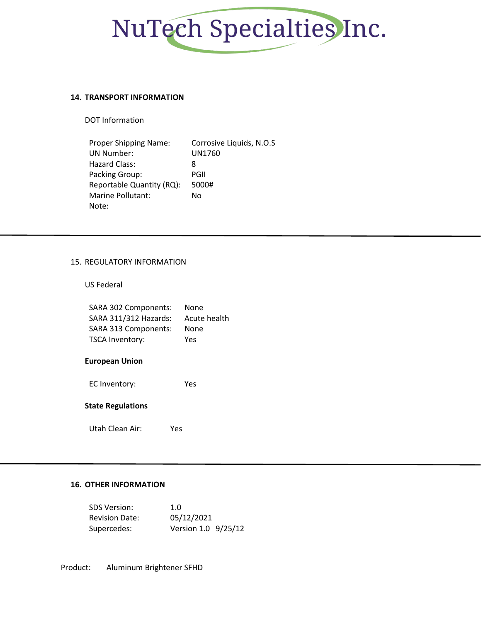

#### **14. TRANSPORT INFORMATION**

DOT Information

| Proper Shipping Name:     | Corrosive Liquids, N.O.S |
|---------------------------|--------------------------|
| <b>UN Number:</b>         | UN1760                   |
| Hazard Class:             | 8                        |
| Packing Group:            | PGII                     |
| Reportable Quantity (RQ): | 5000#                    |
| Marine Pollutant:         | No                       |
| Note:                     |                          |

#### 15. REGULATORY INFORMATION

US Federal

| SARA 302 Components:   | None         |
|------------------------|--------------|
| SARA 311/312 Hazards:  | Acute health |
| SARA 313 Components:   | None         |
| <b>TSCA Inventory:</b> | Yes          |

#### **European Union**

EC Inventory: Yes

#### **State Regulations**

Utah Clean Air: Yes

#### **16. OTHER INFORMATION**

| <b>SDS Version:</b>   | 1.0                 |
|-----------------------|---------------------|
| <b>Revision Date:</b> | 05/12/2021          |
| Supercedes:           | Version 1.0 9/25/12 |